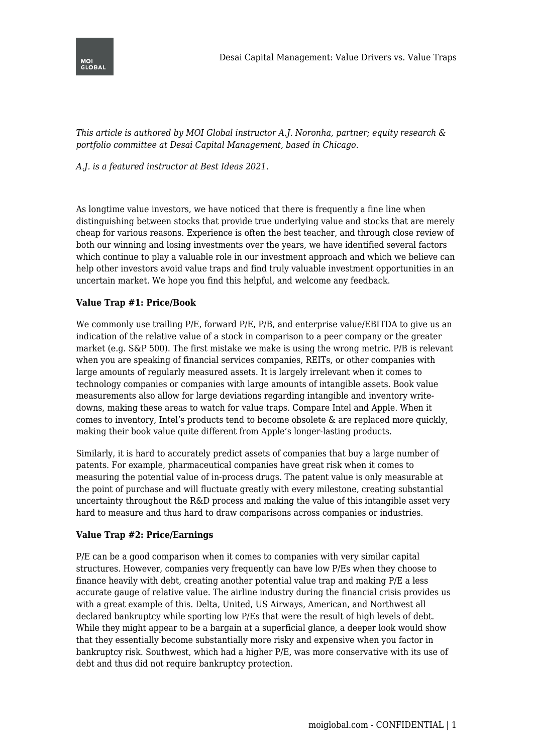

*This article is authored by MOI Global instructor A.J. Noronha, partner; equity research & portfolio committee at Desai Capital Management, based in Chicago.*

# *A.J. is a featured instructor at Best Ideas 2021.*

As longtime value investors, we have noticed that there is frequently a fine line when distinguishing between stocks that provide true underlying value and stocks that are merely cheap for various reasons. Experience is often the best teacher, and through close review of both our winning and losing investments over the years, we have identified several factors which continue to play a valuable role in our investment approach and which we believe can help other investors avoid value traps and find truly valuable investment opportunities in an uncertain market. We hope you find this helpful, and welcome any feedback.

## **Value Trap #1: Price/Book**

We commonly use trailing P/E, forward P/E, P/B, and enterprise value/EBITDA to give us an indication of the relative value of a stock in comparison to a peer company or the greater market (e.g. S&P 500). The first mistake we make is using the wrong metric. P/B is relevant when you are speaking of financial services companies, REITs, or other companies with large amounts of regularly measured assets. It is largely irrelevant when it comes to technology companies or companies with large amounts of intangible assets. Book value measurements also allow for large deviations regarding intangible and inventory writedowns, making these areas to watch for value traps. Compare Intel and Apple. When it comes to inventory, Intel's products tend to become obsolete & are replaced more quickly, making their book value quite different from Apple's longer-lasting products.

Similarly, it is hard to accurately predict assets of companies that buy a large number of patents. For example, pharmaceutical companies have great risk when it comes to measuring the potential value of in-process drugs. The patent value is only measurable at the point of purchase and will fluctuate greatly with every milestone, creating substantial uncertainty throughout the R&D process and making the value of this intangible asset very hard to measure and thus hard to draw comparisons across companies or industries.

#### **Value Trap #2: Price/Earnings**

P/E can be a good comparison when it comes to companies with very similar capital structures. However, companies very frequently can have low P/Es when they choose to finance heavily with debt, creating another potential value trap and making P/E a less accurate gauge of relative value. The airline industry during the financial crisis provides us with a great example of this. Delta, United, US Airways, American, and Northwest all declared bankruptcy while sporting low P/Es that were the result of high levels of debt. While they might appear to be a bargain at a superficial glance, a deeper look would show that they essentially become substantially more risky and expensive when you factor in bankruptcy risk. Southwest, which had a higher P/E, was more conservative with its use of debt and thus did not require bankruptcy protection.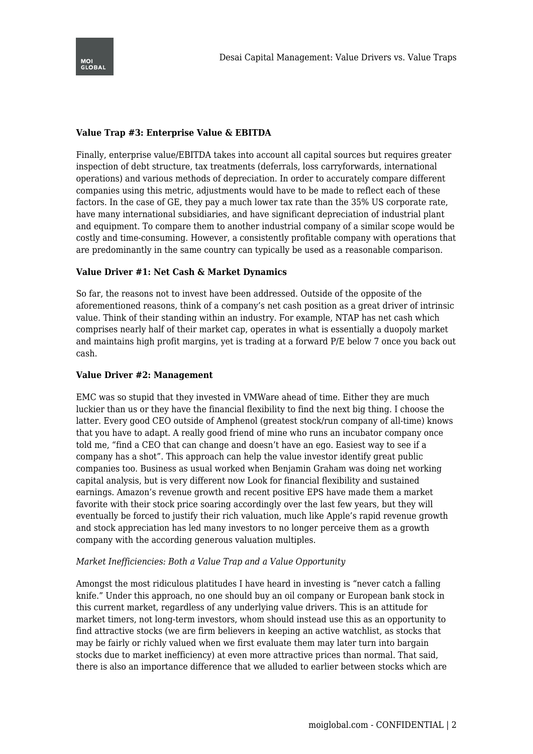

## **Value Trap #3: Enterprise Value & EBITDA**

Finally, enterprise value/EBITDA takes into account all capital sources but requires greater inspection of debt structure, tax treatments (deferrals, loss carryforwards, international operations) and various methods of depreciation. In order to accurately compare different companies using this metric, adjustments would have to be made to reflect each of these factors. In the case of GE, they pay a much lower tax rate than the 35% US corporate rate, have many international subsidiaries, and have significant depreciation of industrial plant and equipment. To compare them to another industrial company of a similar scope would be costly and time-consuming. However, a consistently profitable company with operations that are predominantly in the same country can typically be used as a reasonable comparison.

## **Value Driver #1: Net Cash & Market Dynamics**

So far, the reasons not to invest have been addressed. Outside of the opposite of the aforementioned reasons, think of a company's net cash position as a great driver of intrinsic value. Think of their standing within an industry. For example, NTAP has net cash which comprises nearly half of their market cap, operates in what is essentially a duopoly market and maintains high profit margins, yet is trading at a forward P/E below 7 once you back out cash.

#### **Value Driver #2: Management**

EMC was so stupid that they invested in VMWare ahead of time. Either they are much luckier than us or they have the financial flexibility to find the next big thing. I choose the latter. Every good CEO outside of Amphenol (greatest stock/run company of all-time) knows that you have to adapt. A really good friend of mine who runs an incubator company once told me, "find a CEO that can change and doesn't have an ego. Easiest way to see if a company has a shot". This approach can help the value investor identify great public companies too. Business as usual worked when Benjamin Graham was doing net working capital analysis, but is very different now Look for financial flexibility and sustained earnings. Amazon's revenue growth and recent positive EPS have made them a market favorite with their stock price soaring accordingly over the last few years, but they will eventually be forced to justify their rich valuation, much like Apple's rapid revenue growth and stock appreciation has led many investors to no longer perceive them as a growth company with the according generous valuation multiples.

#### *Market Inefficiencies: Both a Value Trap and a Value Opportunity*

Amongst the most ridiculous platitudes I have heard in investing is "never catch a falling knife." Under this approach, no one should buy an oil company or European bank stock in this current market, regardless of any underlying value drivers. This is an attitude for market timers, not long-term investors, whom should instead use this as an opportunity to find attractive stocks (we are firm believers in keeping an active watchlist, as stocks that may be fairly or richly valued when we first evaluate them may later turn into bargain stocks due to market inefficiency) at even more attractive prices than normal. That said, there is also an importance difference that we alluded to earlier between stocks which are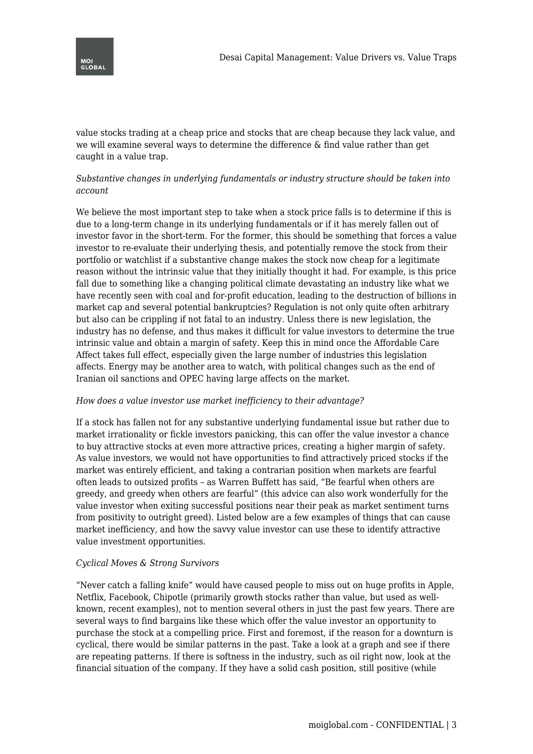value stocks trading at a cheap price and stocks that are cheap because they lack value, and we will examine several ways to determine the difference & find value rather than get caught in a value trap.

# *Substantive changes in underlying fundamentals or industry structure should be taken into account*

We believe the most important step to take when a stock price falls is to determine if this is due to a long-term change in its underlying fundamentals or if it has merely fallen out of investor favor in the short-term. For the former, this should be something that forces a value investor to re-evaluate their underlying thesis, and potentially remove the stock from their portfolio or watchlist if a substantive change makes the stock now cheap for a legitimate reason without the intrinsic value that they initially thought it had. For example, is this price fall due to something like a changing political climate devastating an industry like what we have recently seen with coal and for-profit education, leading to the destruction of billions in market cap and several potential bankruptcies? Regulation is not only quite often arbitrary but also can be crippling if not fatal to an industry. Unless there is new legislation, the industry has no defense, and thus makes it difficult for value investors to determine the true intrinsic value and obtain a margin of safety. Keep this in mind once the Affordable Care Affect takes full effect, especially given the large number of industries this legislation affects. Energy may be another area to watch, with political changes such as the end of Iranian oil sanctions and OPEC having large affects on the market.

#### *How does a value investor use market inefficiency to their advantage?*

If a stock has fallen not for any substantive underlying fundamental issue but rather due to market irrationality or fickle investors panicking, this can offer the value investor a chance to buy attractive stocks at even more attractive prices, creating a higher margin of safety. As value investors, we would not have opportunities to find attractively priced stocks if the market was entirely efficient, and taking a contrarian position when markets are fearful often leads to outsized profits – as Warren Buffett has said, "Be fearful when others are greedy, and greedy when others are fearful" (this advice can also work wonderfully for the value investor when exiting successful positions near their peak as market sentiment turns from positivity to outright greed). Listed below are a few examples of things that can cause market inefficiency, and how the savvy value investor can use these to identify attractive value investment opportunities.

#### *Cyclical Moves & Strong Survivors*

"Never catch a falling knife" would have caused people to miss out on huge profits in Apple, Netflix, Facebook, Chipotle (primarily growth stocks rather than value, but used as wellknown, recent examples), not to mention several others in just the past few years. There are several ways to find bargains like these which offer the value investor an opportunity to purchase the stock at a compelling price. First and foremost, if the reason for a downturn is cyclical, there would be similar patterns in the past. Take a look at a graph and see if there are repeating patterns. If there is softness in the industry, such as oil right now, look at the financial situation of the company. If they have a solid cash position, still positive (while